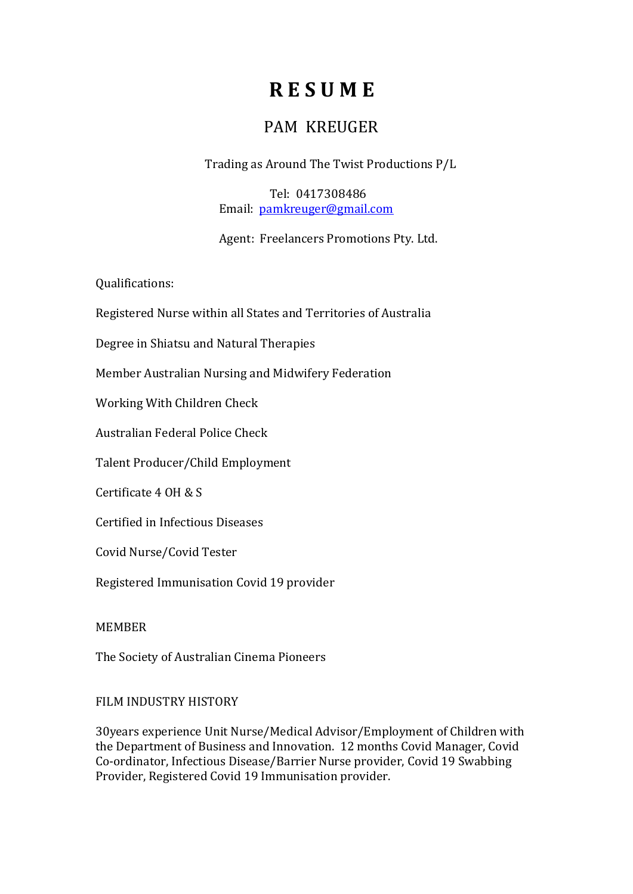# R E S U M E

# PAM KREUGER

Trading as Around The Twist Productions P/L

 Tel: 0417308486 Email: pamkreuger@gmail.com

Agent: Freelancers Promotions Pty. Ltd.

Qualifications:

Registered Nurse within all States and Territories of Australia

Degree in Shiatsu and Natural Therapies

Member Australian Nursing and Midwifery Federation

Working With Children Check

Australian Federal Police Check

Talent Producer/Child Employment

Certificate 4 OH & S

Certified in Infectious Diseases

Covid Nurse/Covid Tester

Registered Immunisation Covid 19 provider

MEMBER

The Society of Australian Cinema Pioneers

## FILM INDUSTRY HISTORY

30years experience Unit Nurse/Medical Advisor/Employment of Children with the Department of Business and Innovation. 12 months Covid Manager, Covid Co-ordinator, Infectious Disease/Barrier Nurse provider, Covid 19 Swabbing Provider, Registered Covid 19 Immunisation provider.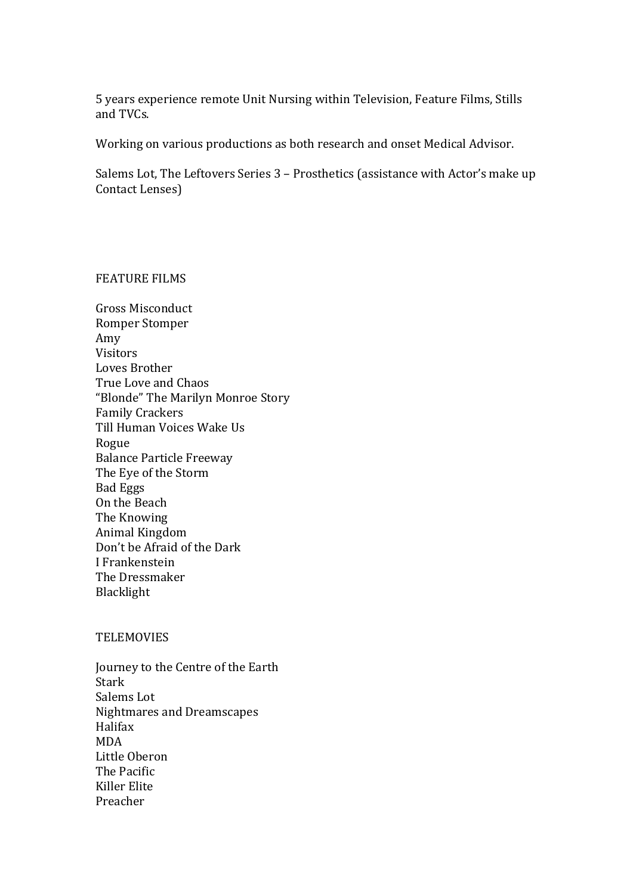5 years experience remote Unit Nursing within Television, Feature Films, Stills and TVCs.

Working on various productions as both research and onset Medical Advisor.

Salems Lot, The Leftovers Series 3 – Prosthetics (assistance with Actor's make up Contact Lenses)

#### FEATURE FILMS

Gross Misconduct Romper Stomper Amy Visitors Loves Brother True Love and Chaos "Blonde" The Marilyn Monroe Story Family Crackers Till Human Voices Wake Us Rogue Balance Particle Freeway The Eye of the Storm Bad Eggs On the Beach The Knowing Animal Kingdom Don't be Afraid of the Dark I Frankenstein The Dressmaker Blacklight

#### **TELEMOVIES**

Journey to the Centre of the Earth Stark Salems Lot Nightmares and Dreamscapes Halifax MDA Little Oberon The Pacific Killer Elite Preacher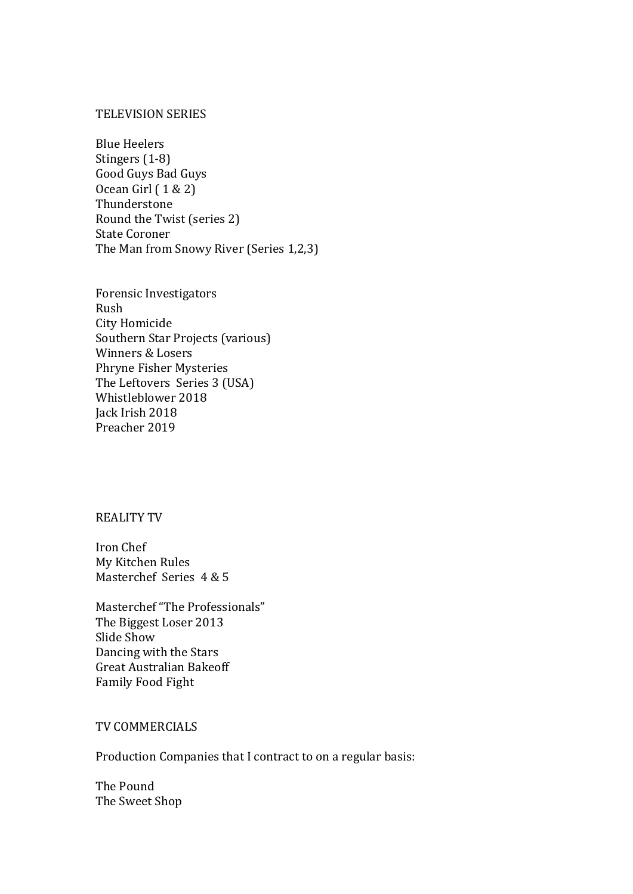#### TELEVISION SERIES

Blue Heelers Stingers (1-8) Good Guys Bad Guys Ocean Girl ( 1 & 2) Thunderstone Round the Twist (series 2) State Coroner The Man from Snowy River (Series 1,2,3)

Forensic Investigators Rush City Homicide Southern Star Projects (various) Winners & Losers Phryne Fisher Mysteries The Leftovers Series 3 (USA) Whistleblower 2018 Jack Irish 2018 Preacher 2019

# REALITY TV

Iron Chef My Kitchen Rules Masterchef Series 4 & 5

Masterchef "The Professionals" The Biggest Loser 2013 Slide Show Dancing with the Stars Great Australian Bakeoff Family Food Fight

#### TV COMMERCIALS

Production Companies that I contract to on a regular basis:

The Pound The Sweet Shop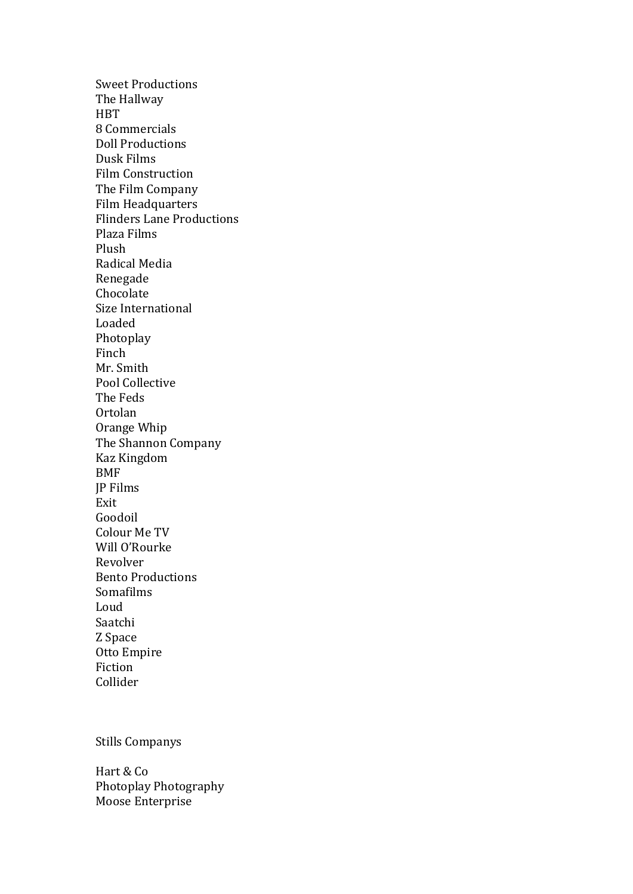Sweet Productions The Hallway **HBT** 8 Commercials Doll Productions Dusk Films Film Construction The Film Company Film Headquarters Flinders Lane Productions Plaza Films Plush Radical Media Renegade Chocolate Size International Loaded Photoplay Finch Mr. Smith Pool Collective The Feds Ortolan Orange Whip The Shannon Company Kaz Kingdom BMF JP Films Exit Goodoil Colour Me TV Will O'Rourke Revolver Bento Productions Somafilms Loud Saatchi Z Space Otto Empire Fiction Collider

### Stills Companys

Hart & Co Photoplay Photography Moose Enterprise